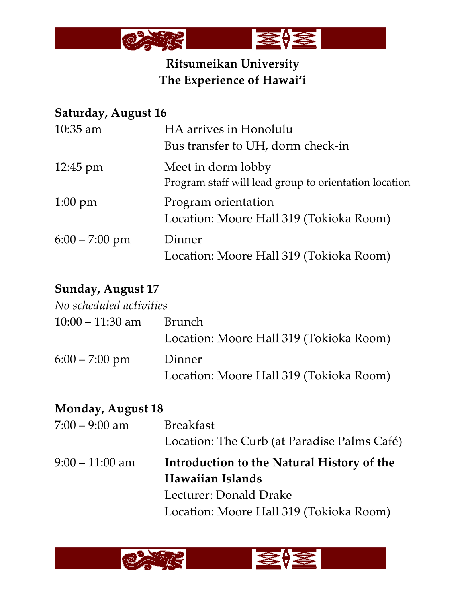

# **Ritsumeikan University The Experience of Hawai'i**

## **Saturday, August 16**

| $10:35$ am         | HA arrives in Honolulu                                |
|--------------------|-------------------------------------------------------|
|                    | Bus transfer to UH, dorm check-in                     |
| $12:45 \text{ pm}$ | Meet in dorm lobby                                    |
|                    | Program staff will lead group to orientation location |
| $1:00 \text{ pm}$  | Program orientation                                   |
|                    | Location: Moore Hall 319 (Tokioka Room)               |
| $6:00 - 7:00$ pm   | Dinner                                                |
|                    | Location: Moore Hall 319 (Tokioka Room)               |

# **Sunday, August 17**

| No scheduled activities |                                         |
|-------------------------|-----------------------------------------|
| $10:00 - 11:30$ am      | Brunch                                  |
|                         | Location: Moore Hall 319 (Tokioka Room) |
| $6:00 - 7:00$ pm        | Dinner                                  |
|                         | Location: Moore Hall 319 (Tokioka Room) |

| <b>Monday, August 18</b> |                                             |
|--------------------------|---------------------------------------------|
| $7:00 - 9:00$ am         | <b>Breakfast</b>                            |
|                          | Location: The Curb (at Paradise Palms Café) |
| $9:00-11:00$ am          | Introduction to the Natural History of the  |
|                          | Hawaiian Islands                            |
|                          | Lecturer: Donald Drake                      |
|                          | Location: Moore Hall 319 (Tokioka Room)     |
|                          |                                             |

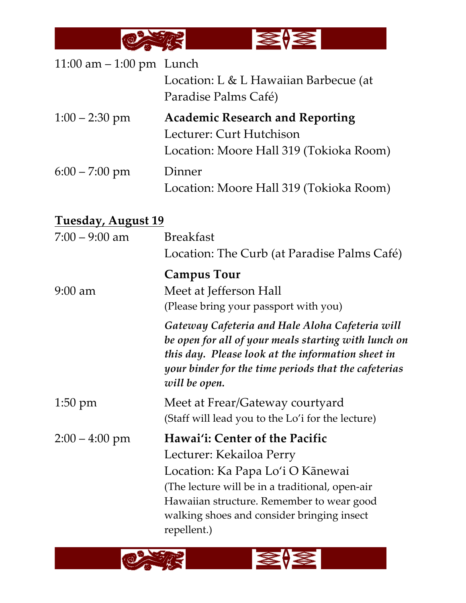

| 11:00 $am - 1:00$ pm Lunch | Location: L & L Hawaiian Barbecue (at<br>Paradise Palms Café)                                                                                                                                                                         |
|----------------------------|---------------------------------------------------------------------------------------------------------------------------------------------------------------------------------------------------------------------------------------|
| $1:00 - 2:30$ pm           | <b>Academic Research and Reporting</b><br>Lecturer: Curt Hutchison<br>Location: Moore Hall 319 (Tokioka Room)                                                                                                                         |
| $6:00 - 7:00$ pm           | Dinner<br>Location: Moore Hall 319 (Tokioka Room)                                                                                                                                                                                     |
| <u>Tuesday, August 19</u>  |                                                                                                                                                                                                                                       |
| $7:00 - 9:00$ am           | <b>Breakfast</b><br>Location: The Curb (at Paradise Palms Café)                                                                                                                                                                       |
| $9:00$ am                  | <b>Campus Tour</b><br>Meet at Jefferson Hall<br>(Please bring your passport with you)                                                                                                                                                 |
|                            | Gateway Cafeteria and Hale Aloha Cafeteria will<br>be open for all of your meals starting with lunch on<br>this day. Please look at the information sheet in<br>your binder for the time periods that the cafeterias<br>will be open. |
| $1:50 \text{ pm}$          | Meet at Frear/Gateway courtyard<br>(Staff will lead you to the Lo'i for the lecture)                                                                                                                                                  |

2:00 – 4:00 pm **Hawai'i: Center of the Pacific** Lecturer: Kekailoa Perry Location: Ka Papa Lo'i O Kānewai (The lecture will be in a traditional, open-air Hawaiian structure. Remember to wear good walking shoes and consider bringing insect repellent.)

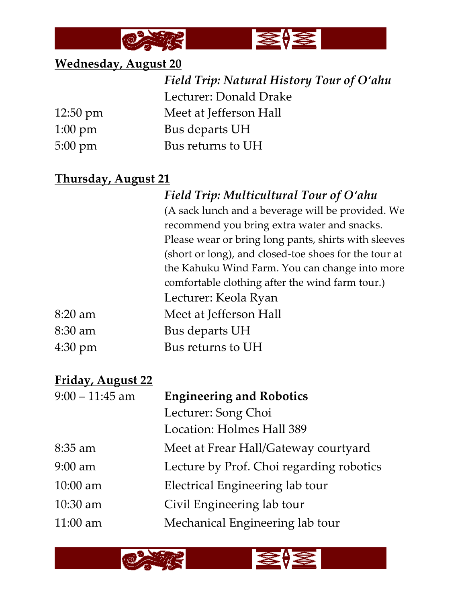



## **Wednesday, August 20**

|                    | Field Trip: Natural History Tour of O'ahu |
|--------------------|-------------------------------------------|
|                    | Lecturer: Donald Drake                    |
| $12:50 \text{ pm}$ | Meet at Jefferson Hall                    |
| $1:00 \text{ pm}$  | Bus departs UH                            |
| $5:00 \text{ pm}$  | Bus returns to UH                         |

## **Thursday, August 21**

| Field Trip: Multicultural Tour of O'ahu               |
|-------------------------------------------------------|
| (A sack lunch and a beverage will be provided. We     |
| recommend you bring extra water and snacks.           |
| Please wear or bring long pants, shirts with sleeves  |
| (short or long), and closed-toe shoes for the tour at |
| the Kahuku Wind Farm. You can change into more        |
| comfortable clothing after the wind farm tour.)       |
| Lecturer: Keola Ryan                                  |
| Meet at Jefferson Hall                                |
| Bus departs UH                                        |
| Bus returns to UH                                     |

## **Friday, August 22**

 $8:20$  am

 $8:30$  am

4:30 pm

| $9:00 - 11:45$ am | <b>Engineering and Robotics</b>          |
|-------------------|------------------------------------------|
|                   | Lecturer: Song Choi                      |
|                   | Location: Holmes Hall 389                |
| $8:35$ am         | Meet at Frear Hall/Gateway courtyard     |
| $9:00$ am         | Lecture by Prof. Choi regarding robotics |
| $10:00$ am        | Electrical Engineering lab tour          |
| $10:30$ am        | Civil Engineering lab tour               |
| $11:00$ am        | Mechanical Engineering lab tour          |
|                   |                                          |

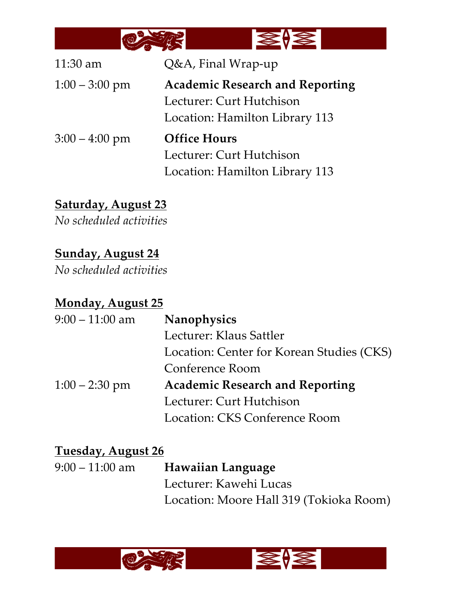

| $11:30$ am       | Q&A, Final Wrap-up                     |
|------------------|----------------------------------------|
| $1:00 - 3:00$ pm | <b>Academic Research and Reporting</b> |
|                  | Lecturer: Curt Hutchison               |
|                  | Location: Hamilton Library 113         |
| $3:00 - 4:00$ pm | <b>Office Hours</b>                    |
|                  | Lecturer: Curt Hutchison               |
|                  | Location: Hamilton Library 113         |

**Saturday, August 23**

*No scheduled activities*

## **Sunday, August 24**

*No scheduled activities*

## **Monday, August 25**

| $9:00 - 11:00$ am | Nanophysics                               |
|-------------------|-------------------------------------------|
|                   | Lecturer: Klaus Sattler                   |
|                   | Location: Center for Korean Studies (CKS) |
|                   | Conference Room                           |
| $1:00 - 2:30$ pm  | <b>Academic Research and Reporting</b>    |
|                   | Lecturer: Curt Hutchison                  |
|                   | Location: CKS Conference Room             |

## **Tuesday, August 26**

| $9:00-11:00$ am | <b>Hawaiian Language</b>                |
|-----------------|-----------------------------------------|
|                 | Lecturer: Kawehi Lucas                  |
|                 | Location: Moore Hall 319 (Tokioka Room) |

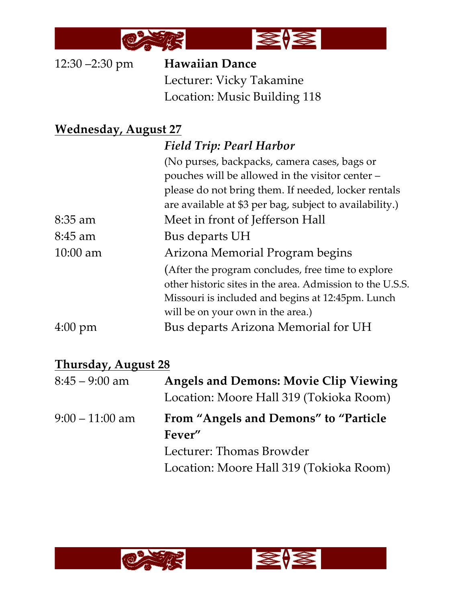

12:30 –2:30 pm **Hawaiian Dance** Lecturer: Vicky Takamine Location: Music Building 118

## **Wednesday, August 27**

|                   | <b>Field Trip: Pearl Harbor</b>                           |
|-------------------|-----------------------------------------------------------|
|                   | (No purses, backpacks, camera cases, bags or              |
|                   | pouches will be allowed in the visitor center -           |
|                   | please do not bring them. If needed, locker rentals       |
|                   | are available at \$3 per bag, subject to availability.)   |
| $8:35$ am         | Meet in front of Jefferson Hall                           |
| $8:45$ am         | Bus departs UH                                            |
| $10:00$ am        | Arizona Memorial Program begins                           |
|                   | (After the program concludes, free time to explore        |
|                   | other historic sites in the area. Admission to the U.S.S. |
|                   | Missouri is included and begins at 12:45pm. Lunch         |
|                   | will be on your own in the area.)                         |
| $4:00 \text{ pm}$ | Bus departs Arizona Memorial for UH                       |

#### **Thursday, August 28**

| $8:45 - 9:00$ am  | <b>Angels and Demons: Movie Clip Viewing</b> |
|-------------------|----------------------------------------------|
|                   | Location: Moore Hall 319 (Tokioka Room)      |
| $9:00 - 11:00$ am | From "Angels and Demons" to "Particle"       |
|                   | Fever"                                       |
|                   | Lecturer: Thomas Browder                     |
|                   | Location: Moore Hall 319 (Tokioka Room)      |
|                   |                                              |

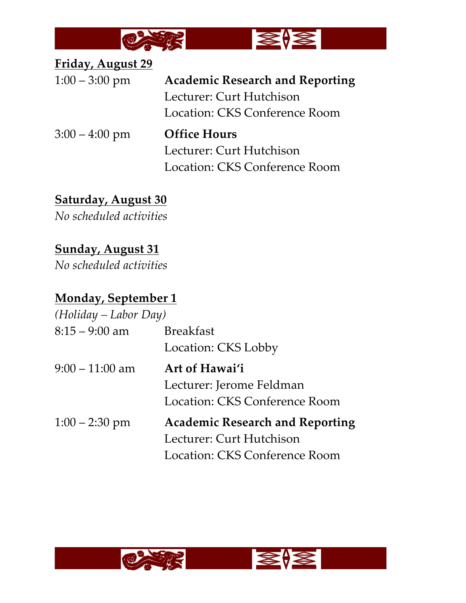

**Friday, August 29**

| $1:00 - 3:00 \text{ pm}$ | <b>Academic Research and Reporting</b> |
|--------------------------|----------------------------------------|
|                          | Lecturer: Curt Hutchison               |
|                          | Location: CKS Conference Room          |
| $3:00 - 4:00$ pm         | <b>Office Hours</b>                    |
|                          | Lecturer: Curt Hutchison               |
|                          | Location: CKS Conference Room          |

## **Saturday, August 30**

*No scheduled activities*

# **Sunday, August 31**

*No scheduled activities*

# **Monday, September 1**

| $(Holiday-Labor Day)$ |                                                                                                     |
|-----------------------|-----------------------------------------------------------------------------------------------------|
| $8:15 - 9:00$ am      | <b>Breakfast</b><br>Location: CKS Lobby                                                             |
| $9:00 - 11:00$ am     | Art of Hawai'i<br>Lecturer: Jerome Feldman<br>Location: CKS Conference Room                         |
| $1:00 - 2:30$ pm      | <b>Academic Research and Reporting</b><br>Lecturer: Curt Hutchison<br>Location: CKS Conference Room |

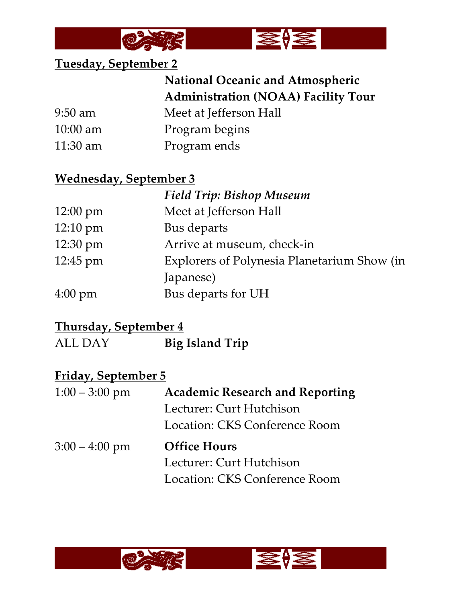



#### **Tuesday, September 2**

# **National Oceanic and Atmospheric Administration (NOAA) Facility Tour**

9:50 am Meet at Jefferson Hall

- 10:00 am Program begins
- 11:30 am Program ends

#### **Wednesday, September 3**

|                    | <b>Field Trip: Bishop Museum</b>            |
|--------------------|---------------------------------------------|
| $12:00 \text{ pm}$ | Meet at Jefferson Hall                      |
| $12:10 \text{ pm}$ | Bus departs                                 |
| 12:30 pm           | Arrive at museum, check-in                  |
| 12:45 pm           | Explorers of Polynesia Planetarium Show (in |
|                    | Japanese)                                   |
| $4:00 \text{ pm}$  | Bus departs for UH                          |

#### **Thursday, September 4**

ALL DAY **Big Island Trip**

#### **Friday, September 5**

| $1:00 - 3:00$ pm | <b>Academic Research and Reporting</b> |
|------------------|----------------------------------------|
|                  | Lecturer: Curt Hutchison               |
|                  | Location: CKS Conference Room          |
| $3:00 - 4:00$ pm | <b>Office Hours</b>                    |
|                  | Lecturer: Curt Hutchison               |
|                  | Location: CKS Conference Room          |
|                  |                                        |



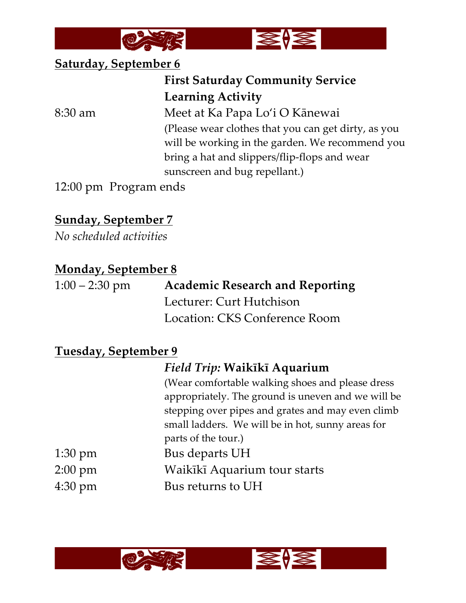



#### **Saturday, September 6**

## **First Saturday Community Service Learning Activity**

8:30 am Meet at Ka Papa Lo'i O Kānewai (Please wear clothes that you can get dirty, as you will be working in the garden. We recommend you bring a hat and slippers/flip-flops and wear sunscreen and bug repellant.)

12:00 pm Program ends

## **Sunday, September 7**

*No scheduled activities*

#### **Monday, September 8**

| $1:00 - 2:30$ pm | <b>Academic Research and Reporting</b> |
|------------------|----------------------------------------|
|                  | Lecturer: Curt Hutchison               |
|                  | Location: CKS Conference Room          |

#### **Tuesday, September 9**

## *Field Trip:* **Waikīkī Aquarium**

(Wear comfortable walking shoes and please dress appropriately. The ground is uneven and we will be stepping over pipes and grates and may even climb small ladders. We will be in hot, sunny areas for parts of the tour.) 1:30 pm Bus departs UH 2:00 pm Waikīkī Aquarium tour starts 4:30 pm Bus returns to UH